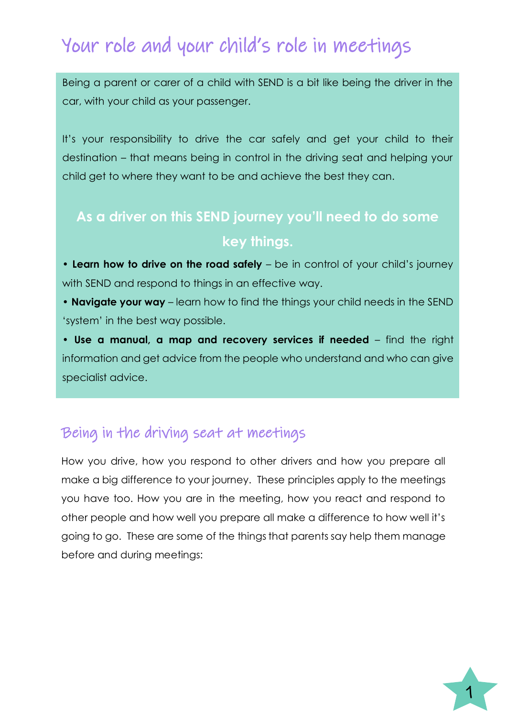# Your role and your child's role in meetings

Being a parent or carer of a child with SEND is a bit like being the driver in the car, with your child as your passenger.

It's your responsibility to drive the car safely and get your child to their destination – that means being in control in the driving seat and helping your child get to where they want to be and achieve the best they can.

# **As a driver on this SEND journey you'll need to do some key things.**

• Learn how to drive on the road safely – be in control of your child's journey with SEND and respond to things in an effective way.

• **Navigate your way** – learn how to find the things your child needs in the SEND 'system' in the best way possible.

• **Use a manual, a map and recovery services if needed** – find the right information and get advice from the people who understand and who can give specialist advice.

#### Being in the driving seat at meetings

How you drive, how you respond to other drivers and how you prepare all make a big difference to your journey. These principles apply to the meetings you have too. How you are in the meeting, how you react and respond to other people and how well you prepare all make a difference to how well it's going to go. These are some of the things that parents say help them manage before and during meetings:

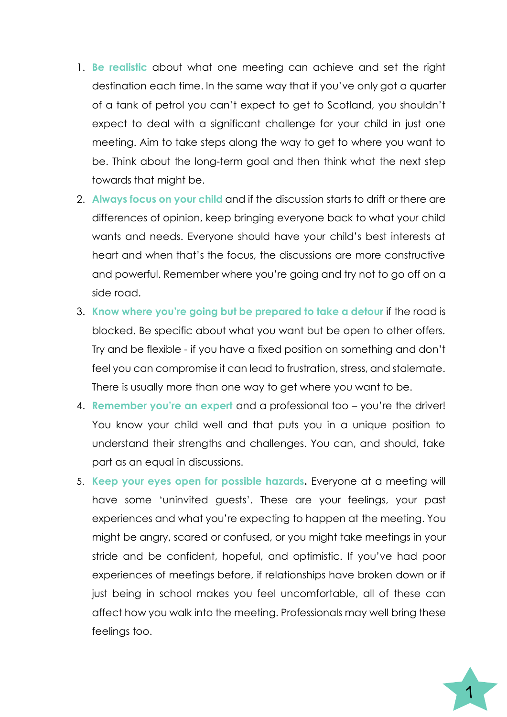- 1. **Be realistic** about what one meeting can achieve and set the right destination each time. In the same way that if you've only got a quarter of a tank of petrol you can't expect to get to Scotland, you shouldn't expect to deal with a significant challenge for your child in just one meeting. Aim to take steps along the way to get to where you want to be. Think about the long-term goal and then think what the next step towards that might be.
- 2. **Always focus on your child** and if the discussion starts to drift or there are differences of opinion, keep bringing everyone back to what your child wants and needs. Everyone should have your child's best interests at heart and when that's the focus, the discussions are more constructive and powerful. Remember where you're going and try not to go off on a side road.
- 3. **Know where you're going but be prepared to take a detour** if the road is blocked. Be specific about what you want but be open to other offers. Try and be flexible - if you have a fixed position on something and don't feel you can compromise it can lead to frustration, stress, and stalemate. There is usually more than one way to get where you want to be.
- 4. **Remember you're an expert** and a professional too you're the driver! You know your child well and that puts you in a unique position to understand their strengths and challenges. You can, and should, take part as an equal in discussions.
- 5. **Keep your eyes open for possible hazards.** Everyone at a meeting will have some 'uninvited guests'. These are your feelings, your past experiences and what you're expecting to happen at the meeting. You might be angry, scared or confused, or you might take meetings in your stride and be confident, hopeful, and optimistic. If you've had poor experiences of meetings before, if relationships have broken down or if just being in school makes you feel uncomfortable, all of these can affect how you walk into the meeting. Professionals may well bring these feelings too.

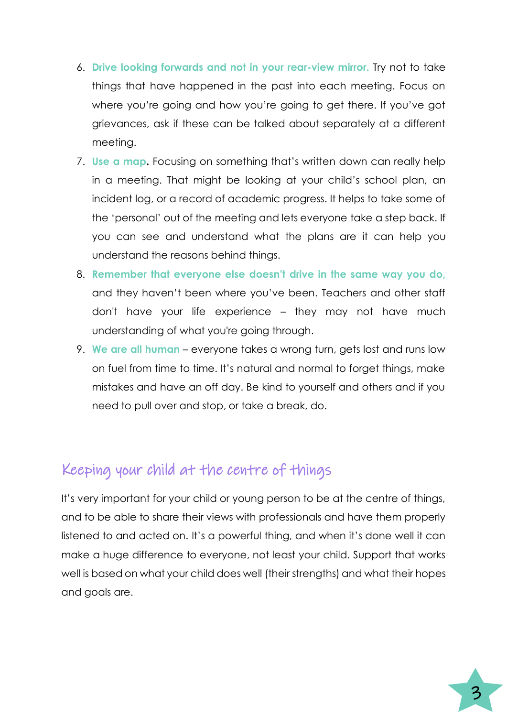- 6. **Drive looking forwards and not in your rear-view mirror.** Try not to take things that have happened in the past into each meeting. Focus on where you're going and how you're going to get there. If you've got grievances, ask if these can be talked about separately at a different meeting.
- 7. **Use a map.** Focusing on something that's written down can really help in a meeting. That might be looking at your child's school plan, an incident log, or a record of academic progress. It helps to take some of the 'personal' out of the meeting and lets everyone take a step back. If you can see and understand what the plans are it can help you understand the reasons behind things.
- 8. **Remember that everyone else doesn't drive in the same way you do,** and they haven't been where you've been. Teachers and other staff don't have your life experience – they may not have much understanding of what you're going through.
- 9. **We are all human**  everyone takes a wrong turn, gets lost and runs low on fuel from time to time. It's natural and normal to forget things, make mistakes and have an off day. Be kind to yourself and others and if you need to pull over and stop, or take a break, do.

#### Keeping your child at the centre of things

It's very important for your child or young person to be at the centre of things, and to be able to share their views with professionals and have them properly listened to and acted on. It's a powerful thing, and when it's done well it can make a huge difference to everyone, not least your child. Support that works well is based on what your child does well (their strengths) and what their hopes and goals are.

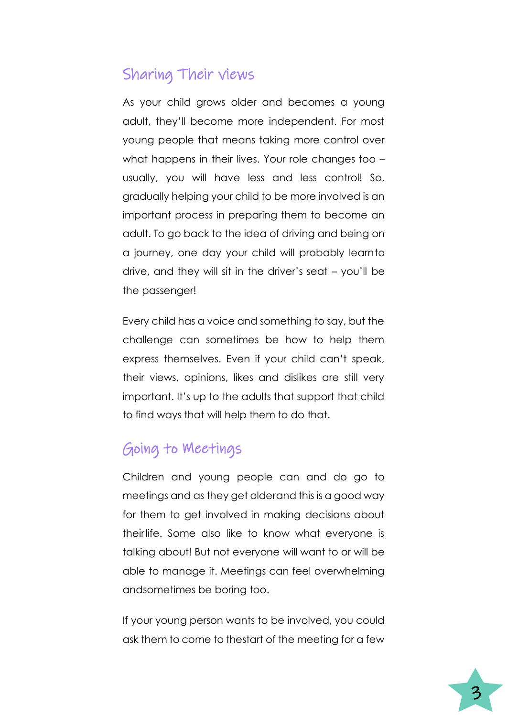### Sharing Their views

As your child grows older and becomes a young adult, they'll become more independent. For most young people that means taking more control over what happens in their lives. Your role changes too – usually, you will have less and less control! So, gradually helping your child to be more involved is an important process in preparing them to become an adult. To go back to the idea of driving and being on a journey, one day your child will probably learnto drive, and they will sit in the driver's seat – you'll be the passenger!

Every child has a voice and something to say, but the challenge can sometimes be how to help them express themselves. Even if your child can't speak, their views, opinions, likes and dislikes are still very important. It's up to the adults that support that child to find ways that will help them to do that.

## Going to Meetings

Children and young people can and do go to meetings and as they get older and this is a good way for them to get involved in making decisions about theirlife. Some also like to know what everyone is talking about! But not everyone will want to or will be able to manage it. Meetings can feel overwhelming andsometimes be boring too.

If your young person wants to be involved, you could ask them to come to thestart of the meeting for a few